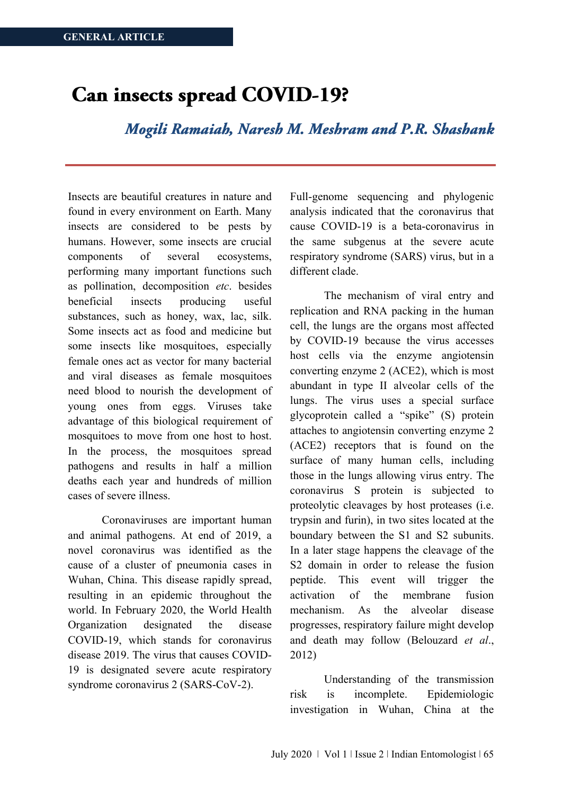# Can insects spread COVID-19?

Mogili Ramaiah, Naresh M. Meshram and P.R. Shashank

Insects are beautiful creatures in nature and found in every environment on Earth. Many insects are considered to be pests by humans. However, some insects are crucial components of several ecosystems, performing many important functions such as pollination, decomposition *etc*. besides beneficial insects producing useful substances, such as honey, wax, lac, silk. Some insects act as food and medicine but some insects like mosquitoes, especially female ones act as vector for many bacterial and viral diseases as female mosquitoes need blood to nourish the development of young ones from eggs. Viruses take advantage of this biological requirement of mosquitoes to move from one host to host. In the process, the mosquitoes spread pathogens and results in half a million deaths each year and hundreds of million cases of severe illness.

Coronaviruses are important human and animal pathogens. At end of 2019, a novel coronavirus was identified as the cause of a cluster of pneumonia cases in Wuhan, China. This disease rapidly spread, resulting in an epidemic throughout the world. In February 2020, the World Health Organization designated the disease COVID-19, which stands for coronavirus disease 2019. The virus that causes COVID-19 is designated severe acute respiratory syndrome coronavirus 2 (SARS-CoV-2).

Full-genome sequencing and phylogenic analysis indicated that the coronavirus that cause COVID-19 is a beta-coronavirus in the same subgenus at the severe acute respiratory syndrome (SARS) virus, but in a different clade.

The mechanism of viral entry and replication and RNA packing in the human cell, the lungs are the organs most affected by COVID-19 because the virus accesses host cells via the enzyme angiotensin converting enzyme 2 (ACE2), which is most abundant in type II alveolar cells of the lungs. The virus uses a special surface glycoprotein called a "spike" (S) protein attaches to angiotensin converting enzyme 2 (ACE2) receptors that is found on the surface of many human cells, including those in the lungs allowing virus entry. The coronavirus S protein is subjected to proteolytic cleavages by host proteases (i.e. trypsin and furin), in two sites located at the boundary between the S1 and S2 subunits. In a later stage happens the cleavage of the S2 domain in order to release the fusion peptide. This event will trigger the activation of the membrane fusion mechanism. As the alveolar disease progresses, respiratory failure might develop and death may follow (Belouzard *et al*., 2012)

Understanding of the transmission risk is incomplete. Epidemiologic investigation in Wuhan, China at the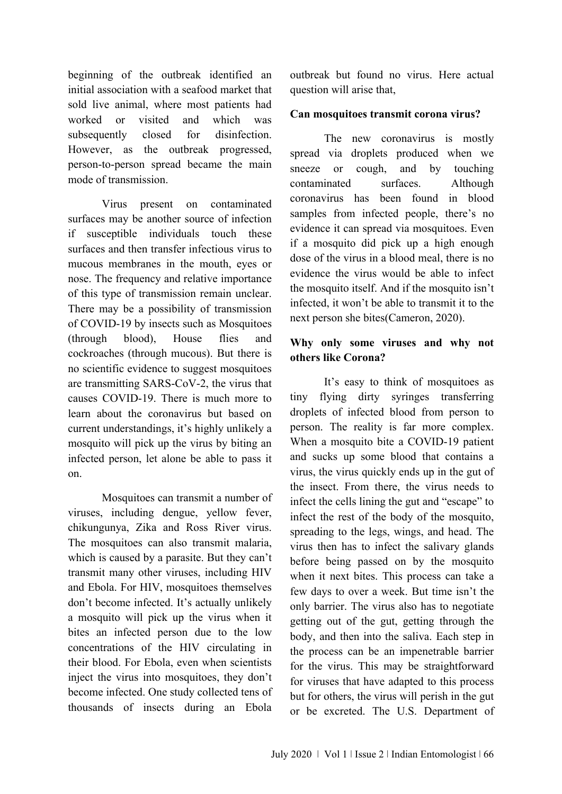beginning of the outbreak identified an initial association with a seafood market that sold live animal, where most patients had worked or visited and which was subsequently closed for disinfection. However, as the outbreak progressed, person-to-person spread became the main mode of transmission.

Virus present on contaminated surfaces may be another source of infection if susceptible individuals touch these surfaces and then transfer infectious virus to mucous membranes in the mouth, eyes or nose. The frequency and relative importance of this type of transmission remain unclear. There may be a possibility of transmission of COVID-19 by insects such as Mosquitoes (through blood), House flies and cockroaches (through mucous). But there is no scientific evidence to suggest mosquitoes are transmitting SARS-CoV-2, the virus that causes COVID-19. There is much more to learn about the coronavirus but based on current understandings, it's highly unlikely a mosquito will pick up the virus by biting an infected person, let alone be able to pass it on.

Mosquitoes can transmit a number of viruses, including dengue, yellow fever, chikungunya, Zika and Ross River virus. The mosquitoes can also transmit malaria, which is caused by a parasite. But they can't transmit many other viruses, including HIV and Ebola. For HIV, mosquitoes themselves don't become infected. It's actually unlikely a mosquito will pick up the virus when it bites an infected person due to the low concentrations of the HIV circulating in their blood. For Ebola, even when scientists inject the virus into mosquitoes, they don't become infected. One study collected tens of thousands of insects during an Ebola

outbreak but found no virus. Here actual question will arise that,

### **Can mosquitoes transmit corona virus?**

The new coronavirus is mostly spread via droplets produced when we sneeze or cough, and by touching contaminated surfaces. Although coronavirus has been found in blood samples from infected people, there's no evidence it can spread via mosquitoes. Even if a mosquito did pick up a high enough dose of the virus in a blood meal, there is no evidence the virus would be able to infect the mosquito itself. And if the mosquito isn't infected, it won't be able to transmit it to the next person she bites(Cameron, 2020).

## **Why only some viruses and why not others like Corona?**

It's easy to think of mosquitoes as tiny flying dirty syringes transferring droplets of infected blood from person to person. The reality is far more complex. When a mosquito bite a COVID-19 patient and sucks up some blood that contains a virus, the virus quickly ends up in the gut of the insect. From there, the virus needs to infect the cells lining the gut and "escape" to infect the rest of the body of the mosquito, spreading to the legs, wings, and head. The virus then has to infect the salivary glands before being passed on by the mosquito when it next bites. This process can take a few days to over a week. But time isn't the only barrier. The virus also has to negotiate getting out of the gut, getting through the body, and then into the saliva. Each step in the process can be an impenetrable barrier for the virus. This may be straightforward for viruses that have adapted to this process but for others, the virus will perish in the gut or be excreted. The U.S. Department of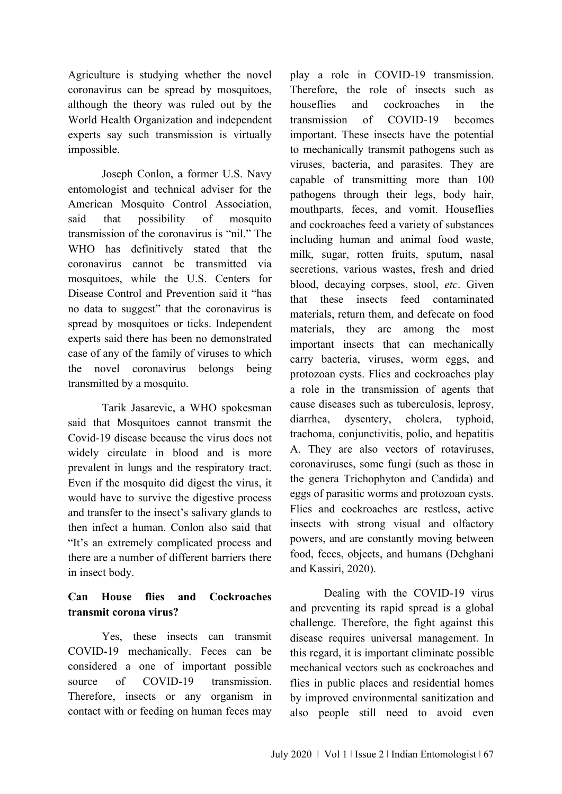Agriculture is studying whether the novel coronavirus can be spread by mosquitoes, although the theory was ruled out by the World Health Organization and independent experts say such transmission is virtually impossible.

Joseph Conlon, a former U.S. Navy entomologist and technical adviser for the American Mosquito Control Association, said that possibility of mosquito transmission of the coronavirus is "nil." The WHO has definitively stated that the coronavirus cannot be transmitted via mosquitoes, while the U.S. Centers for Disease Control and Prevention said it "has no data to suggest" that the coronavirus is spread by mosquitoes or ticks. Independent experts said there has been no demonstrated case of any of the family of viruses to which the novel coronavirus belongs being transmitted by a mosquito.

Tarik Jasarevic, a WHO spokesman said that Mosquitoes cannot transmit the Covid-19 disease because the virus does not widely circulate in blood and is more prevalent in lungs and the respiratory tract. Even if the mosquito did digest the virus, it would have to survive the digestive process and transfer to the insect's salivary glands to then infect a human. Conlon also said that "It's an extremely complicated process and there are a number of different barriers there in insect body.

# **Can House flies and Cockroaches transmit corona virus?**

Yes, these insects can transmit COVID-19 mechanically. Feces can be considered a one of important possible source of COVID-19 transmission. Therefore, insects or any organism in contact with or feeding on human feces may

play a role in COVID-19 transmission. Therefore, the role of insects such as houseflies and cockroaches in the transmission of COVID-19 becomes important. These insects have the potential to mechanically transmit pathogens such as viruses, bacteria, and parasites. They are capable of transmitting more than 100 pathogens through their legs, body hair, mouthparts, feces, and vomit. Houseflies and cockroaches feed a variety of substances including human and animal food waste, milk, sugar, rotten fruits, sputum, nasal secretions, various wastes, fresh and dried blood, decaying corpses, stool, *etc*. Given that these insects feed contaminated materials, return them, and defecate on food materials, they are among the most important insects that can mechanically carry bacteria, viruses, worm eggs, and protozoan cysts. Flies and cockroaches play a role in the transmission of agents that cause diseases such as tuberculosis, leprosy, diarrhea, dysentery, cholera, typhoid, trachoma, conjunctivitis, polio, and hepatitis A. They are also vectors of rotaviruses, coronaviruses, some fungi (such as those in the genera Trichophyton and Candida) and eggs of parasitic worms and protozoan cysts. Flies and cockroaches are restless, active insects with strong visual and olfactory powers, and are constantly moving between food, feces, objects, and humans (Dehghani and Kassiri, 2020).

Dealing with the COVID-19 virus and preventing its rapid spread is a global challenge. Therefore, the fight against this disease requires universal management. In this regard, it is important eliminate possible mechanical vectors such as cockroaches and flies in public places and residential homes by improved environmental sanitization and also people still need to avoid even